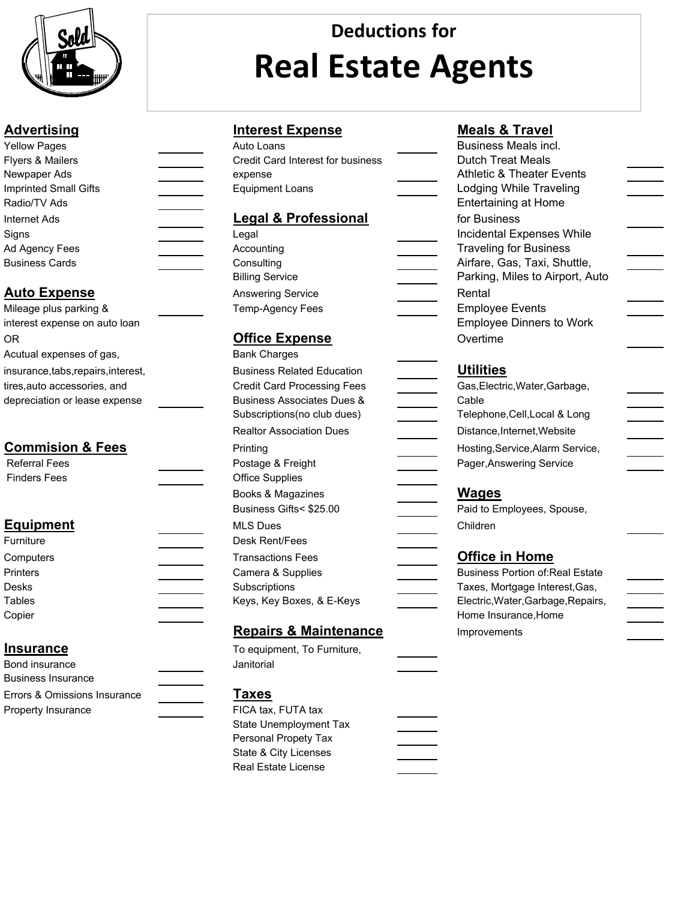

# **Deductions for Real Estate Agents**

| <b>Yellow Pages</b>   | Auto Loans                               | <b>Business Meals incl.</b>          |
|-----------------------|------------------------------------------|--------------------------------------|
| Flyers & Mailers      | <b>Credit Card Interest for business</b> | <b>Dutch Treat Meals</b>             |
| Newpaper Ads          | expense                                  | <b>Athletic &amp; Theater Events</b> |
| Imprinted Small Gifts | <b>Equipment Loans</b>                   | Lodging While Traveling              |
| Radio/TV Ads          |                                          | <b>Entertaining at Home</b>          |
| Internet Ads          | <b>Legal &amp; Professional</b>          | for Business                         |
| Signs                 | Legal                                    | Incidental Expenses Whil             |
| Ad Agency Fees        | Accounting                               | <b>Traveling for Business</b>        |
| <b>Business Cards</b> | Consulting                               | Airfare, Gas, Taxi, Shuttle          |
|                       |                                          | .                                    |

# **Auto Expense**

| Mileage plus parking &              | Temp-Agency           |
|-------------------------------------|-----------------------|
| interest expense on auto loan       |                       |
| 0R                                  | <b>Office Exp</b>     |
| Acutual expenses of gas,            | <b>Bank Charges</b>   |
| insurance, tabs, repairs, interest, | <b>Business Rela</b>  |
| tires, auto accessories, and        | <b>Credit Card Pr</b> |
| depreciation or lease expense       | <b>Business Asso</b>  |
|                                     |                       |

### **Commision & Fees**

| Referral Fees | Postage & Frei         |
|---------------|------------------------|
| Finders Fees  | <b>Office Supplies</b> |
|               | Books & Magaz          |

## **Equipment**

| Furniture       | Desk Rent/Fees            |                                        |
|-----------------|---------------------------|----------------------------------------|
| Computers       | Transactions Fees         | <b>Office in Home</b>                  |
| <b>Printers</b> | Camera & Supplies         | <b>Business Portion of Real Estate</b> |
| Desks           | <b>Subscriptions</b>      | Taxes, Mortgage Interest, Gas,         |
| Tables          | Keys, Key Boxes, & E-Keys | Electric, Water, Garbage, Repairs,     |
| Copier          |                           | Home Insurance, Home                   |

## **Insurance**

| Bond insurance               | Janitorial         |
|------------------------------|--------------------|
| Business Insurance           |                    |
| Errors & Omissions Insurance | <b>Taxes</b>       |
| Property Insurance           | FICA tax, FUTA tax |

### **Advertising Interest Expense Meals & Travel**

| AUTO LOANS                        |
|-----------------------------------|
| Credit Card Interest for business |
| expense                           |
| <b>Equipment Loans</b>            |

| Internet Ads           | <b>Legal &amp; Professional</b> | for Business              |
|------------------------|---------------------------------|---------------------------|
| Signs                  | Legal                           | <b>Incidental Expens</b>  |
| Ad Agency Fees         | Accounting                      | <b>Traveling for Busi</b> |
| Business Cards         | Consulting                      | Airfare, Gas, Taxi        |
|                        | <b>Billing Service</b>          | Parking, Miles to         |
| <u>Auto Expense</u>    | <b>Answering Service</b>        | Rental                    |
| Mileage plus parking & | Temp-Agency Fees                | <b>Employee Events</b>    |
|                        |                                 |                           |

# **Office Expense**

| Acutual expenses of gas,         | <b>Bank Charges</b>                   |                                       |
|----------------------------------|---------------------------------------|---------------------------------------|
| insurance,tabs,repairs,interest, | <b>Business Related Education</b>     | <b>Utilities</b>                      |
| tires,auto accessories, and      | <b>Credit Card Processing Fees</b>    | Gas, Electric, Water, Garbage,        |
| depreciation or lease expense    | <b>Business Associates Dues &amp;</b> | Cable                                 |
|                                  | Subscriptions (no club dues)          | Telephone, Cell, Local & Long         |
|                                  | <b>Realtor Association Dues</b>       | Distance, Internet, Website           |
| <b>Commision &amp; Fees</b>      | Printing                              | Hosting, Service, Alarm Servic        |
| <b>Referral Fees</b>             | Postage & Freight                     | Pager, Answering Service              |
| <b>Finders Fees</b>              | <b>Office Supplies</b>                |                                       |
|                                  | Books & Magazines                     | <b>Wages</b>                          |
|                                  | Business Gifts< \$25.00               | Paid to Employees, Spouse,            |
| <u>Equipment</u>                 | <b>MLS Dues</b>                       | Children                              |
| Furniture                        | Desk Rent/Fees                        |                                       |
| Computers                        | <b>Transactions Fees</b>              | <b>Office in Home</b>                 |
| Printers                         | Camera & Supplies                     | <b>Business Portion of: Real Esta</b> |
| Desks                            | Subscriptions                         | Taxes, Mortgage Interest, Gas         |
| Tables                           | Keys, Key Boxes, & E-Keys             | Electric, Water, Garbage, Repa        |
|                                  |                                       |                                       |

#### **Repairs & Maintenance**

| To equipment, To Furniture, |  |
|-----------------------------|--|
| Janitorial                  |  |

#### **Taxes**

| FICA tax. FUTA tax     |  |
|------------------------|--|
| State Unemployment Tax |  |
| Personal Propety Tax   |  |
| State & City Licenses  |  |
| Real Estate License    |  |
|                        |  |

| <b>Yellow Pages</b>              | Auto Loans                            | Business Meals incl.                    |
|----------------------------------|---------------------------------------|-----------------------------------------|
| Flyers & Mailers                 | Credit Card Interest for business     | <b>Dutch Treat Meals</b>                |
| Newpaper Ads                     | expense                               | <b>Athletic &amp; Theater Events</b>    |
| <b>Imprinted Small Gifts</b>     | <b>Equipment Loans</b>                | <b>Lodging While Traveling</b>          |
| Radio/TV Ads                     |                                       | <b>Entertaining at Home</b>             |
| Internet Ads                     | <b>Legal &amp; Professional</b>       | for Business                            |
| Signs                            | Legal                                 | Incidental Expenses While               |
| Ad Agency Fees                   | Accounting                            | <b>Traveling for Business</b>           |
| Business Cards                   | Consulting                            | Airfare, Gas, Taxi, Shuttle,            |
|                                  | <b>Billing Service</b>                | Parking, Miles to Airport, Auto         |
| <u> Auto Expense</u>             | <b>Answering Service</b>              | Rental                                  |
| Mileage plus parking &           | Temp-Agency Fees                      | <b>Employee Events</b>                  |
| interest expense on auto loan    |                                       | <b>Employee Dinners to Work</b>         |
| OR                               | <b>Office Expense</b>                 | Overtime                                |
| Acutual expenses of gas,         | <b>Bank Charges</b>                   |                                         |
| insurance,tabs,repairs,interest, | <b>Business Related Education</b>     | <b>Utilities</b>                        |
| tires,auto accessories, and      | <b>Credit Card Processing Fees</b>    | Gas, Electric, Water, Garbage,          |
| depreciation or lease expense    | <b>Business Associates Dues &amp;</b> | Cable                                   |
|                                  | Subscriptions(no club dues)           | Telephone, Cell, Local & Long           |
|                                  | <b>Realtor Association Dues</b>       | Distance, Internet, Website             |
| <b>Commision &amp; Fees</b>      | Printing                              | Hosting, Service, Alarm Service,        |
| <b>Referral Fees</b>             | Postage & Freight                     | Pager, Answering Service                |
| <b>Finders Fees</b>              | <b>Office Supplies</b>                |                                         |
|                                  | Books & Magazines                     | <b>Wages</b>                            |
|                                  | Business Gifts< \$25.00               | Paid to Employees, Spouse,              |
| <b>Equipment</b>                 | <b>MLS Dues</b>                       | Children                                |
| Furniture                        | Desk Rent/Fees                        |                                         |
| Computers                        | <b>Transactions Fees</b>              | <b>Office in Home</b>                   |
| Printers                         | Camera & Supplies                     | <b>Business Portion of: Real Estate</b> |
| Desks                            | Subscriptions                         | Taxes, Mortgage Interest, Gas,          |
| Tables                           | Keys, Key Boxes, & E-Keys             | Electric, Water, Garbage, Repairs,      |
| Copier                           |                                       | Home Insurance, Home                    |
|                                  | <b>Repairs &amp; Maintenance</b>      | Improvements                            |
| <u>Insurance</u>                 | To equipment, To Furniture,           |                                         |
| Bond insurance                   | Janitorial                            |                                         |
| <b>Business Insurance</b>        |                                       |                                         |
| Errors & Omissions Insurance     | <u>Taxes</u>                          |                                         |
| Des e siehe besteed sieh         | $F(A, 4, \ldots, F)$                  |                                         |